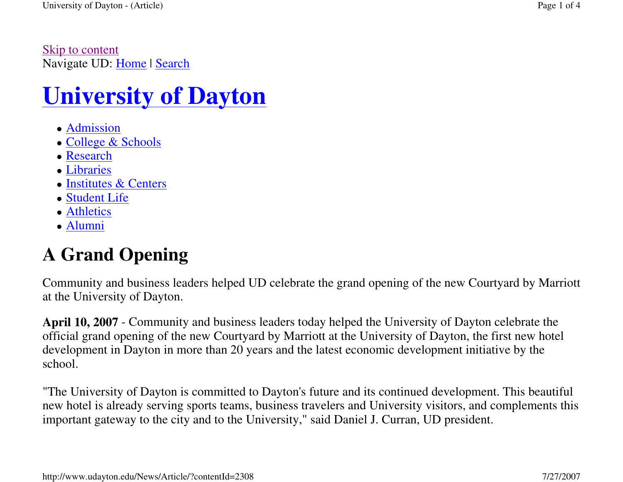Skip to contentNavigate UD: Home | Search

# **University of Dayton**

- Admission
- <u>College & Schools</u>
- Research
- Libraries
- <u>Institutes & Centers</u>
- Student Life
- Athletics
- Alumni

## **A Grand Opening**

Community and business leaders helped UD celebrate the grand opening of the new Courtyard by Marriott at the University of Dayton.

**April 10, 2007** - Community and business leaders today helped the University of Dayton celebrate the official grand opening of the new Courtyard by Marriott at the University of Dayton, the first new hotel development in Dayton in more than 20 years and the latest economic development initiative by the school.

"The University of Dayton is committed to Dayton's future and its continued development. This beautiful new hotel is already serving sports teams, business travelers and University visitors, and complements this important gateway to the city and to the University," said Daniel J. Curran, UD president.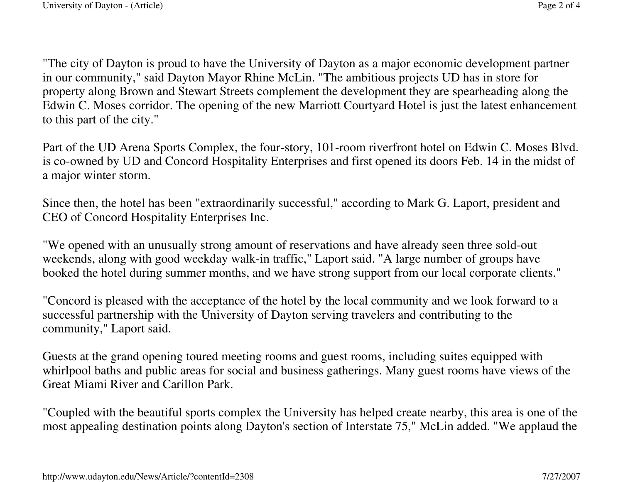"The city of Dayton is proud to have the University of Dayton as a major economic development partner in our community," said Dayton Mayor Rhine McLin. "The ambitious projects UD has in store for property along Brown and Stewart Streets complement the development they are spearheading along the Edwin C. Moses corridor. The opening of the new Marriott Courtyard Hotel is just the latest enhancement to this part of the city."

Part of the UD Arena Sports Complex, the four-story, 101-room riverfront hotel on Edwin C. Moses Blvd. is co-owned by UD and Concord Hospitality Enterprises and first opened its doors Feb. 14 in the midst of a major winter storm.

Since then, the hotel has been "extraordinarily successful," according to Mark G. Laport, president and CEO of Concord Hospitality Enterprises Inc.

"We opened with an unusually strong amount of reservations and have already seen three sold-out weekends, along with good weekday walk-in traffic," Laport said. "A large number of groups have booked the hotel during summer months, and we have strong support from our local corporate clients."

"Concord is pleased with the acceptance of the hotel by the local community and we look forward to a successful partnership with the University of Dayton serving travelers and contributing to the community," Laport said.

Guests at the grand opening toured meeting rooms and guest rooms, including suites equipped with whirlpool baths and public areas for social and business gatherings. Many guest rooms have views of the Great Miami River and Carillon Park.

"Coupled with the beautiful sports complex the University has helped create nearby, this area is one of the most appealing destination points along Dayton's section of Interstate 75," McLin added. "We applaud the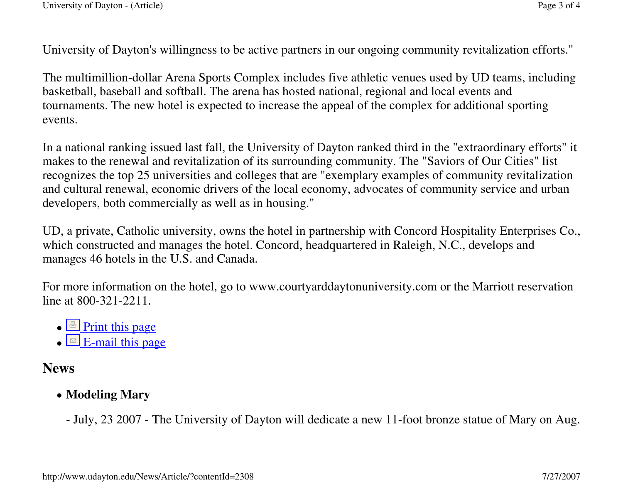University of Dayton's willingness to be active partners in our ongoing community revitalization efforts."

The multimillion-dollar Arena Sports Complex includes five athletic venues used by UD teams, includingbasketball, baseball and softball. The arena has hosted national, regional and local events and tournaments. The new hotel is expected to increase the appeal of the complex for additional sporting events.

In a national ranking issued last fall, the University of Dayton ranked third in the "extraordinary efforts" it makes to the renewal and revitalization of its surrounding community. The "Saviors of Our Cities" list recognizes the top 25 universities and colleges that are "exemplary examples of community revitalization and cultural renewal, economic drivers of the local economy, advocates of community service and urban developers, both commercially as well as in housing."

UD, a private, Catholic university, owns the hotel in partnership with Concord Hospitality Enterprises Co., which constructed and manages the hotel. Concord, headquartered in Raleigh, N.C., develops and manages 46 hotels in the U.S. and Canada.

For more information on the hotel, go to www.courtyarddaytonuniversity.com or the Marriott reservationline at 800-321-2211.

- $\bullet$   $\Box$  Print this page
- $\bullet$   $\Box$  E-mail this page

#### **News**

### **Modeling Mary**

- July, 23 2007 - The University of Dayton will dedicate a new 11-foot bronze statue of Mary on Aug.